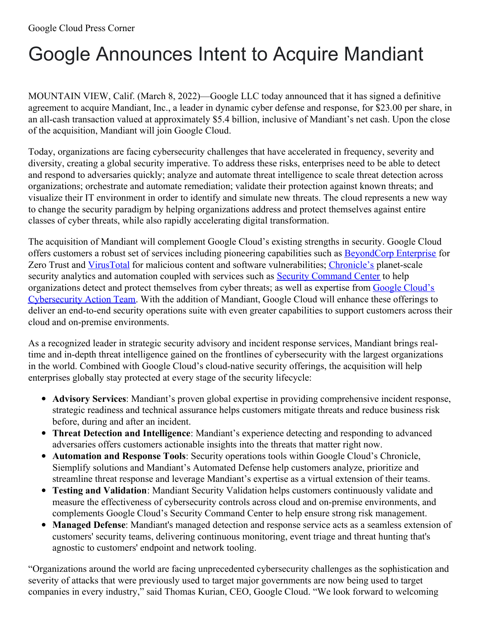# Google Announces Intent to Acquire Mandiant

MOUNTAIN VIEW, Calif. (March 8, 2022)—Google LLC today announced that it has signed a definitive agreement to acquire Mandiant, Inc., a leader in dynamic cyber defense and response, for \$23.00 per share, in an all-cash transaction valued at approximately \$5.4 billion, inclusive of Mandiant's net cash. Upon the close of the acquisition, Mandiant will join Google Cloud.

Today, organizations are facing cybersecurity challenges that have accelerated in frequency, severity and diversity, creating a global security imperative. To address these risks, enterprises need to be able to detect and respond to adversaries quickly; analyze and automate threat intelligence to scale threat detection across organizations; orchestrate and automate remediation; validate their protection against known threats; and visualize their IT environment in order to identify and simulate new threats. The cloud represents a new way to change the security paradigm by helping organizations address and protect themselves against entire classes of cyber threats, while also rapidly accelerating digital transformation.

The acquisition of Mandiant will complement Google Cloud's existing strengths in security. Google Cloud offers customers a robust set of services including pioneering capabilities such as [BeyondCorp](https://cloud.google.com/beyondcorp-enterprise) Enterprise for Zero Trust and [VirusTotal](https://www.virustotal.com/gui/home/upload) for malicious content and software vulnerabilities; [Chronicle's](https://chronicle.security/?gclid=Cj0KCQiA95aRBhCsARIsAC2xvfw5V9d_Hx5vnnxekcG7hoMW97Mfrbj5N0HDD_1ZW1XNU8gMaZ_nh2IaAiD-EALw_wcB) planet-scale security analytics and automation coupled with services such as **Security [Command](https://cloud.google.com/security-command-center) Center** to help organizations detect and protect themselves from cyber threats; as well as expertise from Google Cloud's [Cybersecurity](https://cloud.google.com/blog/products/identity-security/next21-how-google-cloud-secures-the-world) Action Team. With the addition of Mandiant, Google Cloud will enhance these offerings to deliver an end-to-end security operations suite with even greater capabilities to support customers across their cloud and on-premise environments.

As a recognized leader in strategic security advisory and incident response services, Mandiant brings realtime and in-depth threat intelligence gained on the frontlines of cybersecurity with the largest organizations in the world. Combined with Google Cloud's cloud-native security offerings, the acquisition will help enterprises globally stay protected at every stage of the security lifecycle:

- **Advisory Services**: Mandiant's proven global expertise in providing comprehensive incident response, strategic readiness and technical assurance helps customers mitigate threats and reduce business risk before, during and after an incident.
- **Threat Detection and Intelligence**: Mandiant's experience detecting and responding to advanced adversaries offers customers actionable insights into the threats that matter right now.
- **Automation and Response Tools**: Security operations tools within Google Cloud's Chronicle, Siemplify solutions and Mandiant's Automated Defense help customers analyze, prioritize and streamline threat response and leverage Mandiant's expertise as a virtual extension of their teams.
- **Testing and Validation**: Mandiant Security Validation helps customers continuously validate and measure the effectiveness of cybersecurity controls across cloud and on-premise environments, and complements Google Cloud's Security Command Center to help ensure strong risk management.
- **Managed Defense**: Mandiant's managed detection and response service acts as a seamless extension of customers' security teams, delivering continuous monitoring, event triage and threat hunting that's agnostic to customers' endpoint and network tooling.

"Organizations around the world are facing unprecedented cybersecurity challenges as the sophistication and severity of attacks that were previously used to target major governments are now being used to target companies in every industry," said Thomas Kurian, CEO, Google Cloud. "We look forward to welcoming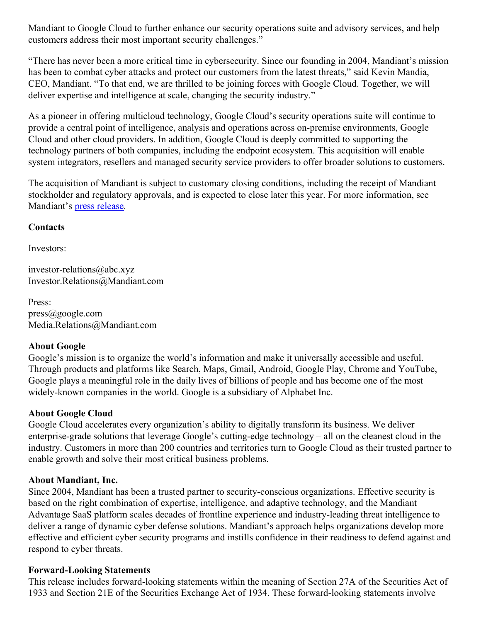Mandiant to Google Cloud to further enhance our security operations suite and advisory services, and help customers address their most important security challenges."

"There has never been a more critical time in cybersecurity. Since our founding in 2004, Mandiant's mission has been to combat cyber attacks and protect our customers from the latest threats," said Kevin Mandia, CEO, Mandiant. "To that end, we are thrilled to be joining forces with Google Cloud. Together, we will deliver expertise and intelligence at scale, changing the security industry."

As a pioneer in offering multicloud technology, Google Cloud's security operations suite will continue to provide a central point of intelligence, analysis and operations across on-premise environments, Google Cloud and other cloud providers. In addition, Google Cloud is deeply committed to supporting the technology partners of both companies, including the endpoint ecosystem. This acquisition will enable system integrators, resellers and managed security service providers to offer broader solutions to customers.

The acquisition of Mandiant is subject to customary closing conditions, including the receipt of Mandiant stockholder and regulatory approvals, and is expected to close later this year. For more information, see Mandiant's press [release](http://www.mandiant.com/company/press-release/mgc).

## **Contacts**

Investors:

investor-relations@abc.xyz Investor.Relations@Mandiant.com

Press: press@google.com Media.Relations@Mandiant.com

## **About Google**

Google's mission is to organize the world's information and make it universally accessible and useful. Through products and platforms like Search, Maps, Gmail, Android, Google Play, Chrome and YouTube, Google plays a meaningful role in the daily lives of billions of people and has become one of the most widely-known companies in the world. Google is a subsidiary of Alphabet Inc.

## **About Google Cloud**

Google Cloud accelerates every organization's ability to digitally transform its business. We deliver enterprise-grade solutions that leverage Google's cutting-edge technology – all on the cleanest cloud in the industry. Customers in more than 200 countries and territories turn to Google Cloud as their trusted partner to enable growth and solve their most critical business problems.

## **About Mandiant, Inc.**

Since 2004, Mandiant has been a trusted partner to security-conscious organizations. Effective security is based on the right combination of expertise, intelligence, and adaptive technology, and the Mandiant Advantage SaaS platform scales decades of frontline experience and industry-leading threat intelligence to deliver a range of dynamic cyber defense solutions. Mandiant's approach helps organizations develop more effective and efficient cyber security programs and instills confidence in their readiness to defend against and respond to cyber threats.

## **Forward-Looking Statements**

This release includes forward-looking statements within the meaning of Section 27A of the Securities Act of 1933 and Section 21E of the Securities Exchange Act of 1934. These forward-looking statements involve